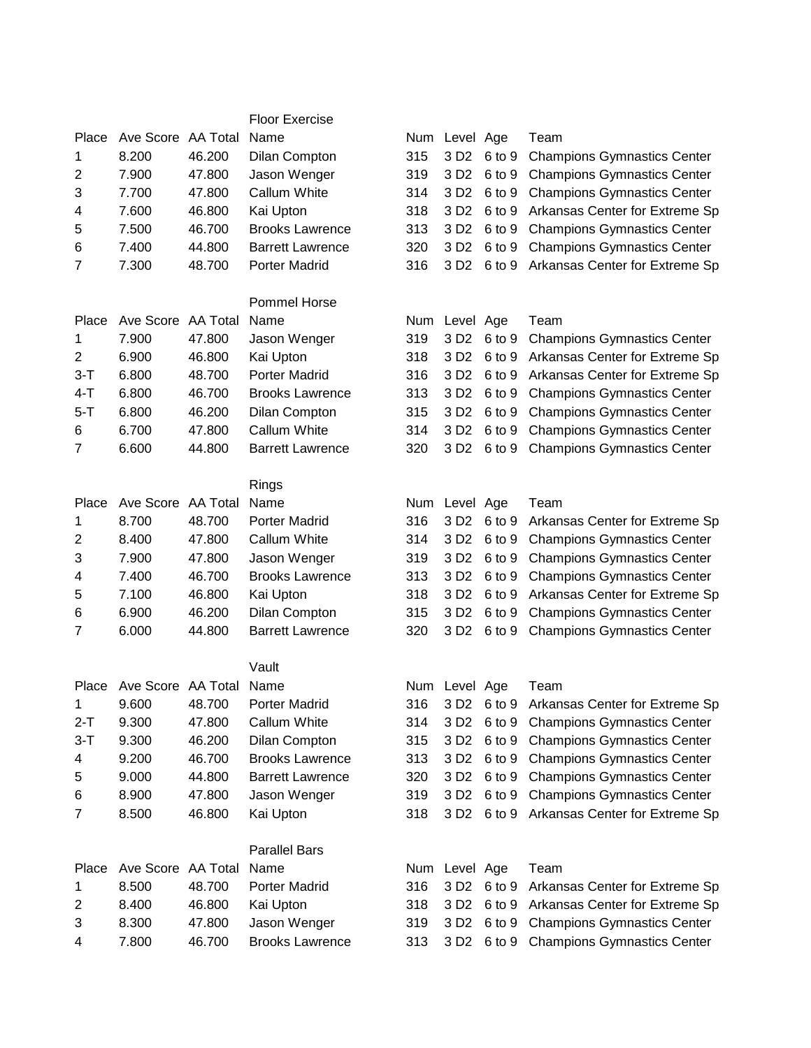## Floor Exercise

| Place          | Ave Score AA Total |        | Name                    |
|----------------|--------------------|--------|-------------------------|
| 1              | 8.200              | 46.200 | Dilan Compton           |
| 2              | 7.900              | 47.800 | Jason Wenger            |
| 3              | 7.700              | 47.800 | Callum White            |
| $\overline{4}$ | 7.600              | 46.800 | Kai Upton               |
| 5              | 7.500              | 46.700 | <b>Brooks Lawrence</b>  |
| 6              | 7.400              | 44.800 | <b>Barrett Lawrence</b> |
| $\overline{7}$ | 7.300              | 48.700 | <b>Porter Madrid</b>    |

## Pommel Horse

|                | Place Ave Score AA Total Name |        |                         | Num Level Age | Team                                          |
|----------------|-------------------------------|--------|-------------------------|---------------|-----------------------------------------------|
| $\mathbf{1}$   | 7.900                         | 47.800 | Jason Wenger            |               | 319 3 D2 6 to 9 Champions Gymnastics Center   |
| 2              | 6.900                         | 46.800 | Kai Upton               |               | 318 3 D2 6 to 9 Arkansas Center for Extreme S |
| $3-T$          | 6.800                         | 48.700 | <b>Porter Madrid</b>    |               | 316 3 D2 6 to 9 Arkansas Center for Extreme S |
| $4-T$          | 6.800                         | 46.700 | <b>Brooks Lawrence</b>  |               | 313 3 D2 6 to 9 Champions Gymnastics Center   |
| $5-T$          | 6.800                         | 46.200 | Dilan Compton           |               | 315 3 D2 6 to 9 Champions Gymnastics Center   |
| 6              | 6.700                         | 47.800 | Callum White            |               | 314 3 D2 6 to 9 Champions Gymnastics Center   |
| $\overline{7}$ | 6.600                         | 44.800 | <b>Barrett Lawrence</b> |               | 320 3 D2 6 to 9 Champions Gymnastics Center   |
|                |                               |        |                         |               |                                               |

## Rings

|                | Place Ave Score AA Total Name |        |                        |  | Num Level Age Team    |  |
|----------------|-------------------------------|--------|------------------------|--|-----------------------|--|
| 1              | 8.700                         | 48.700 | Porter Madrid          |  | 316 3 D2 6 to 9 Arkan |  |
| 2              | 8.400                         | 47.800 | Callum White           |  | 314 3 D2 6 to 9 Cham  |  |
| 3              | 7.900                         | 47.800 | Jason Wenger           |  | 319 3 D2 6 to 9 Cham  |  |
| 4              | 7.400                         | 46.700 | <b>Brooks Lawrence</b> |  | 313 3 D2 6 to 9 Cham  |  |
| 5              | 7.100                         | 46.800 | Kai Upton              |  | 318 3 D2 6 to 9 Arkan |  |
| 6              | 6.900                         | 46.200 | <b>Dilan Compton</b>   |  | 315 3 D2 6 to 9 Cham  |  |
| $\overline{7}$ | 6.000                         | 44 800 | Barrett Lawrence       |  | 320 3 D2 6 to 9 Cham  |  |

## Vault

|                | Place Ave Score AA Total Name |        |                         |  | Num Level Age Team    |  |
|----------------|-------------------------------|--------|-------------------------|--|-----------------------|--|
| 1              | 9.600                         | 48.700 | <b>Porter Madrid</b>    |  | 316 3 D2 6 to 9 Arkan |  |
| 2-T            | 9.300                         | 47.800 | Callum White            |  | 314 3 D2 6 to 9 Cham  |  |
| $3-T$          | 9.300                         | 46.200 | Dilan Compton           |  | 315 3 D2 6 to 9 Cham  |  |
| $\overline{4}$ | 9.200                         | 46.700 | <b>Brooks Lawrence</b>  |  | 313 3 D2 6 to 9 Cham  |  |
| 5              | 9.000                         | 44.800 | <b>Barrett Lawrence</b> |  | 320 3 D2 6 to 9 Cham  |  |
| 6              | 8.900                         | 47.800 | Jason Wenger            |  | 319 3 D2 6 to 9 Cham  |  |
| $7^{\circ}$    | 8.500                         | 46.800 | Kai Unton               |  | 318 3 D2 6 to 9 Arkan |  |

|  |  | 319 3 D2 6 to 9 Champions Gymnastics Center    |
|--|--|------------------------------------------------|
|  |  | 314 3 D2 6 to 9 Champions Gymnastics Center    |
|  |  | 318 3 D2 6 to 9 Arkansas Center for Extreme Sp |
|  |  | 313 3 D2 6 to 9 Champions Gymnastics Center    |
|  |  | 320 3 D2 6 to 9 Champions Gymnastics Center    |

Num Level Age Team

|             |                               |          | Pommel Horse             |               |                                                         |
|-------------|-------------------------------|----------|--------------------------|---------------|---------------------------------------------------------|
|             | Place Ave Score AA Total Name |          |                          | Num Level Age | Team                                                    |
|             | 7.900                         | 47.800   | Jason Wenger             |               | 319 3 D2 6 to 9 Champions Gymnastics Center             |
| 2           | 6.900                         | 46.800   | Kai Upton                |               | 318 3 D2 6 to 9 Arkansas Center for Extreme Sp          |
| 3-T         | 6.800                         | 48.700   | Porter Madrid            |               | 316 3 D2 6 to 9 Arkansas Center for Extreme Sp          |
| $\Lambda$ T | e onn                         | $AC$ 700 | <b>Draglie Louisanon</b> |               | 242 2 B <sub>2</sub> fto 0 Champions Cumposition Contar |

316 3 D2 6 to 9 Arkansas Center for Extreme Sp

315 3 D2 6 to 9 Champions Gymnastics Center

| —— I | v.ovv | 70. I VV | <b>DIVUNO LAWIGHUG</b>  |  | <b>STS SDZ 0.0 S Champions Ovinnasiics Center</b> |
|------|-------|----------|-------------------------|--|---------------------------------------------------|
| 5-T  | 6.800 |          | 46.200 Dilan Compton    |  | 315 3 D2 6 to 9 Champions Gymnastics Center       |
|      | 6.700 |          | 47.800 Callum White     |  | 314 3 D2 6 to 9 Champions Gymnastics Center       |
|      | 6.600 | 44.800   | <b>Barrett Lawrence</b> |  | 320 3 D2 6 to 9 Champions Gymnastics Center       |

|                      | Place Ave Score AA Total Name |        |                         |     | Num Level Age | Team                                           |
|----------------------|-------------------------------|--------|-------------------------|-----|---------------|------------------------------------------------|
| 1                    | 8.700                         | 48.700 | <b>Porter Madrid</b>    |     |               | 316 3 D2 6 to 9 Arkansas Center for Extreme Sp |
| $\mathbf{2}^{\circ}$ | 8.400                         | 47.800 | Callum White            |     |               | 314 3 D2 6 to 9 Champions Gymnastics Center    |
| 3                    | 7.900                         | 47.800 | Jason Wenger            |     |               | 319 3 D2 6 to 9 Champions Gymnastics Center    |
| 4                    | 7.400                         | 46.700 | <b>Brooks Lawrence</b>  |     |               | 313 3 D2 6 to 9 Champions Gymnastics Center    |
| 5                    | 7.100                         | 46.800 | Kai Upton               |     |               | 318 3 D2 6 to 9 Arkansas Center for Extreme Sp |
| 6                    | 6.900                         | 46.200 | Dilan Compton           |     |               | 315 3 D2 6 to 9 Champions Gymnastics Center    |
| $\overline{7}$       | 6.000                         | 44.800 | <b>Barrett Lawrence</b> | 320 |               | 3 D2 6 to 9 Champions Gymnastics Center        |

|     | Place Ave Score AA Total Name |        |                         | Num Level Age | Team                                           |
|-----|-------------------------------|--------|-------------------------|---------------|------------------------------------------------|
| 1.  | 9.600                         | 48.700 | <b>Porter Madrid</b>    |               | 316 3 D2 6 to 9 Arkansas Center for Extreme Sp |
| 2-T | 9.300                         | 47.800 | Callum White            |               | 314 3 D2 6 to 9 Champions Gymnastics Center    |
| 3-T | 9.300                         | 46.200 | Dilan Compton           |               | 315 3 D2 6 to 9 Champions Gymnastics Center    |
| 4   | 9.200                         | 46.700 | <b>Brooks Lawrence</b>  |               | 313 3 D2 6 to 9 Champions Gymnastics Center    |
| 5   | 9.000                         | 44.800 | <b>Barrett Lawrence</b> |               | 320 3 D2 6 to 9 Champions Gymnastics Center    |
| 6   | 8.900                         | 47.800 | Jason Wenger            |               | 319 3 D2 6 to 9 Champions Gymnastics Center    |
| 7   | 8.500                         | 46.800 | Kai Upton               |               | 318 3 D2 6 to 9 Arkansas Center for Extreme Sp |

|                |                               |        | <b>Parallel Bars</b> |               |                                                |
|----------------|-------------------------------|--------|----------------------|---------------|------------------------------------------------|
|                | Place Ave Score AA Total Name |        |                      | Num Level Age | Team                                           |
| $\mathbf{1}$   | 8.500                         | 48.700 | Porter Madrid        |               | 316 3 D2 6 to 9 Arkansas Center for Extreme Sp |
| $\overline{2}$ | 8.400                         | 46.800 | Kai Upton            |               | 318 3 D2 6 to 9 Arkansas Center for Extreme Sp |
| 3              | 8.300                         | 47.800 | Jason Wenger         |               | 319 3 D2 6 to 9 Champions Gymnastics Center    |
| $\overline{4}$ | 7.800                         | 46.700 | Brooks Lawrence      |               | 313 3 D2 6 to 9 Champions Gymnastics Center    |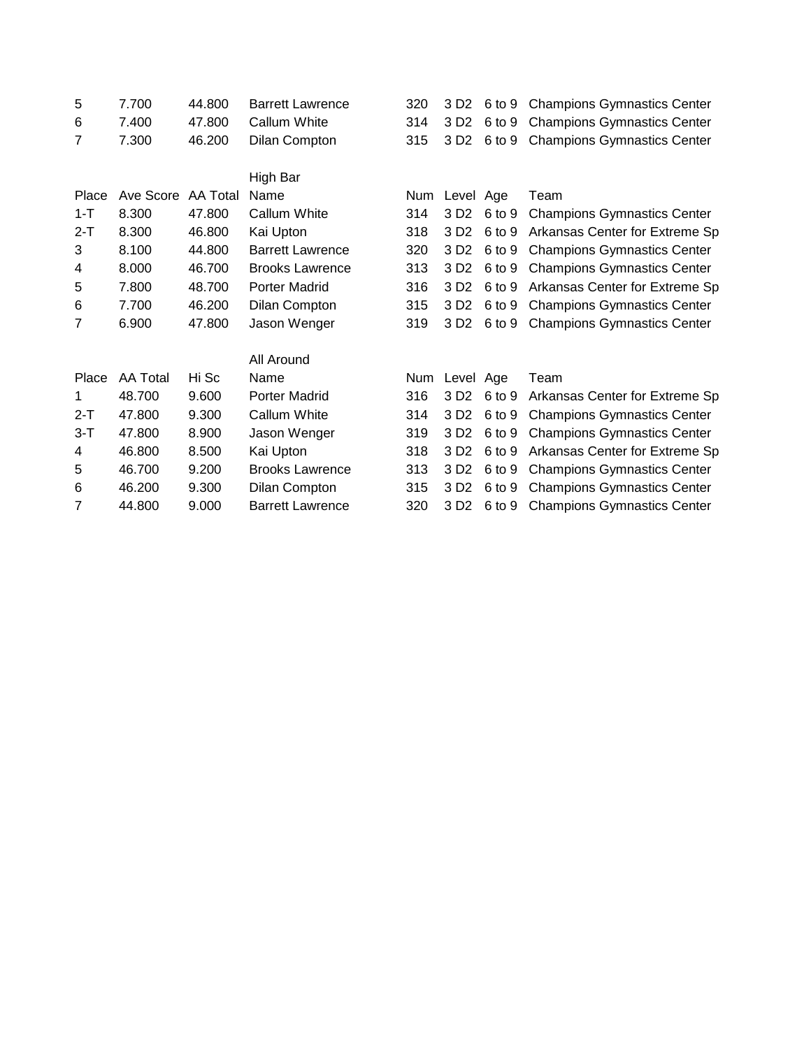| 5       | 7.700           | 44.800   | <b>Barrett Lawrence</b> | 320 | 3 D <sub>2</sub> | 6 to 9 | <b>Champions Gymnastics Center</b> |
|---------|-----------------|----------|-------------------------|-----|------------------|--------|------------------------------------|
| 6       | 7.400           | 47.800   | Callum White            | 314 | 3 D <sub>2</sub> | 6 to 9 | <b>Champions Gymnastics Center</b> |
| 7       | 7.300           | 46.200   | <b>Dilan Compton</b>    | 315 | 3 D <sub>2</sub> | 6 to 9 | <b>Champions Gymnastics Center</b> |
|         |                 |          | High Bar                |     |                  |        |                                    |
| Place   | Ave Score       | AA Total | Name                    | Num | Level Age        |        | Team                               |
| $1 - T$ | 8.300           | 47.800   | Callum White            | 314 | 3 D <sub>2</sub> | 6 to 9 | <b>Champions Gymnastics Center</b> |
| $2-T$   | 8.300           | 46.800   | Kai Upton               | 318 | 3 D <sub>2</sub> | 6 to 9 | Arkansas Center for Extreme Sp     |
| 3       | 8.100           | 44.800   | <b>Barrett Lawrence</b> | 320 | 3 D <sub>2</sub> | 6 to 9 | <b>Champions Gymnastics Center</b> |
| 4       | 8.000           | 46.700   | <b>Brooks Lawrence</b>  | 313 | 3 D <sub>2</sub> | 6 to 9 | <b>Champions Gymnastics Center</b> |
| 5       | 7.800           | 48.700   | Porter Madrid           | 316 | 3 D <sub>2</sub> | 6 to 9 | Arkansas Center for Extreme Sp     |
| 6       | 7.700           | 46.200   | Dilan Compton           | 315 | 3 D <sub>2</sub> | 6 to 9 | <b>Champions Gymnastics Center</b> |
| 7       | 6.900           | 47.800   | Jason Wenger            | 319 | 3 D <sub>2</sub> | 6 to 9 | <b>Champions Gymnastics Center</b> |
|         |                 |          | All Around              |     |                  |        |                                    |
| Place   | <b>AA Total</b> | Hi Sc    | Name                    | Num | Level Age        |        | Team                               |
| 1       | 48.700          | 9.600    | Porter Madrid           | 316 | 3 D <sub>2</sub> | 6 to 9 | Arkansas Center for Extreme Sp     |
| $2-T$   | 47.800          | 9.300    | Callum White            | 314 | 3 D <sub>2</sub> | 6 to 9 | <b>Champions Gymnastics Center</b> |
| $3-T$   | 47.800          | 8.900    | Jason Wenger            | 319 | 3 D <sub>2</sub> | 6 to 9 | <b>Champions Gymnastics Center</b> |
| 4       | 46.800          | 8.500    | Kai Upton               | 318 | 3 D <sub>2</sub> | 6 to 9 | Arkansas Center for Extreme Sp     |
| 5       | 46.700          | 9.200    | <b>Brooks Lawrence</b>  | 313 | 3 D <sub>2</sub> | 6 to 9 | <b>Champions Gymnastics Center</b> |
| 6       | 46.200          | 9.300    | Dilan Compton           | 315 | 3 D <sub>2</sub> | 6 to 9 | <b>Champions Gymnastics Center</b> |
| 7       | 44.800          | 9.000    | <b>Barrett Lawrence</b> | 320 | 3 D <sub>2</sub> | 6 to 9 | <b>Champions Gymnastics Center</b> |
|         |                 |          |                         |     |                  |        |                                    |